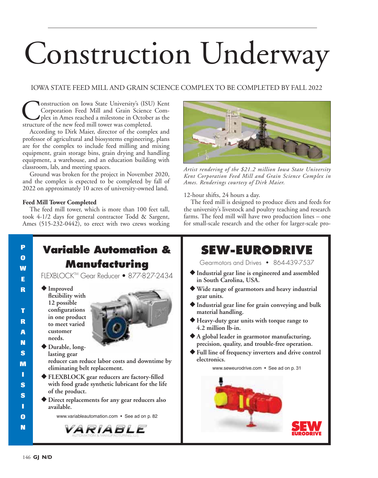# Construction Underway

### IOWA STATE FEED MILL AND GRAIN SCIENCE COMPLEX TO BE COMPLETED BY FALL 2022

**Construction on Iowa State University's (ISU) Kent**<br>Corporation Feed Mill and Grain Science Complex in Ames reached a milestone in October as the<br>structure of the new feed mill tower was completed. Corporation Feed Mill and Grain Science Complex in Ames reached a milestone in October as the structure of the new feed mill tower was completed.

According to Dirk Maier, director of the complex and professor of agricultural and biosystems engineering, plans are for the complex to include feed milling and mixing equipment, grain storage bins, grain drying and handling equipment, a warehouse, and an education building with classroom, lab, and meeting spaces.

Ground was broken for the project in November 2020, and the complex is expected to be completed by fall of 2022 on approximately 10 acres of university-owned land.

#### **Feed Mill Tower Completed**

The feed mill tower, which is more than 100 feet tall, took 4-1/2 days for general contractor Todd & Sargent, Ames (515-232-0442), to erect with two crews working



*Artist rendering of the \$21.2 million Iowa State University Kent Corporation Feed Mill and Grain Science Complex in Ames. Renderings courtesy of Dirk Maier.*

12-hour shifts, 24 hours a day.

The feed mill is designed to produce diets and feeds for the university's livestock and poultry teaching and research farms. The feed mill will have two production lines – one for small-scale research and the other for larger-scale pro-

#### **P Variable Automation & O Manufacturing W** FLEXBLOCKTM Gear Reducer • 877-827-2434 **E** - **Improved R flexibility with 12 possible configurations T in one product R to meet varied A customer needs. N** - **Durable, long-S lasting gear reducer can reduce labor costs and downtime by M eliminating belt replacement. I** - **FLEXBLOCK gear reducers are factory-filled S with food grade synthetic lubricant for the life of the product. S** - **Direct replacements for any gear reducers also I available. O** www.variableautomation.com • See ad on p. 82 **N** *VARIABLE*

# **SEW-EURODRIVE**

Gearmotors and Drives • 864-439-7537

- **Industrial gear line is engineered and assembled in South Carolina, USA.**
- **Wide range of gearmotors and heavy industrial gear units.**
- **Industrial gear line for grain conveying and bulk material handling.**
- **Heavy-duty gear units with torque range to 4.2 million lb-in.**
- **A global leader in gearmotor manufacturing, precision, quality, and trouble-free operation.**
- **Full line of frequency inverters and drive control electronics.**

www.seweurodrive.com • See ad on p. 31

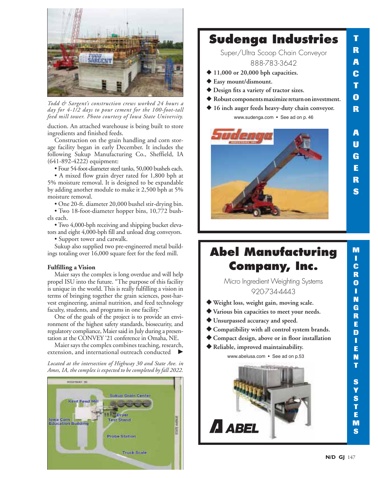

*Todd & Sargent's construction crews worked 24 hours a day for 4-1/2 days to pour cement for the 100-foot-tall feed mill tower. Photo courtesy of Iowa State University.* 

duction. An attached warehouse is being built to store ingredients and finished feeds.

Construction on the grain handling and corn storage facility began in early December. It includes the following Sukup Manufacturing Co., Sheffield, IA (641-892-4222) equipment:

• Four 54-foot-diameter steel tanks, 50,000 bushels each.

• A mixed flow grain dryer rated for 1,800 bph at 5% moisture removal. It is designed to be expandable by adding another module to make it 2,500 bph at 5% moisture removal.

• One 20-ft. diameter 20,000 bushel stir-drying bin.

• Two 18-foot-diameter hopper bins, 10,772 bushels each.

• Two 4,000-bph receiving and shipping bucket elevators and eight 4,000-bph fill and unload drag conveyors.

• Support tower and catwalk.

Sukup also supplied two pre-engineered metal buildings totaling over 16,000 square feet for the feed mill.

#### **Fulfilling a Vision**

Maier says the complex is long overdue and will help propel ISU into the future. "The purpose of this facility is unique in the world. This is really fulfilling a vision in terms of bringing together the grain sciences, post-harvest engineering, animal nutrition, and feed technology faculty, students, and programs in one facility."

One of the goals of the project is to provide an environment of the highest safety standards, biosecurity, and regulatory compliance, Maier said in July during a presentation at the CONVEY '21 conference in Omaha, NE.

Maier says the complex combines teaching, research, extension, and international outreach conducted

*Located at the intersection of Highway 30 and State Ave. in Ames, IA, the complex is expected to be completed by fall 2022.*



## **Sudenga Industries**

Super/Ultra Scoop Chain Conveyor 888-783-3642

- **11,000 or 20,000 bph capacities.**
- **Easy mount/dismount.**
- **Design fits a variety of tractor sizes.**
- - **Robust components maximize return on investment.**
- - **16 inch auger feeds heavy-duty chain conveyor.** www.sudenga.com • See ad on p. 46



# **Abel Manufacturing Company, Inc.**

Micro Ingredient Weighting Systems 920-734-4443

- **Weight loss, weight gain, moving scale.**
- **Various bin capacities to meet your needs.**
- **Unsurpassed accuracy and speed.**
- **Compatibility with all control system brands.**
- **Compact design, above or in floor installation**
- **Reliable, improved maintainability.**

www.abelusa.com • See ad on p.53



**M I C**

**T**

**R**

**A**

**C**

**T**

**O**

**R**

**A**

**U**

**G**

**E**

**R**

**S**